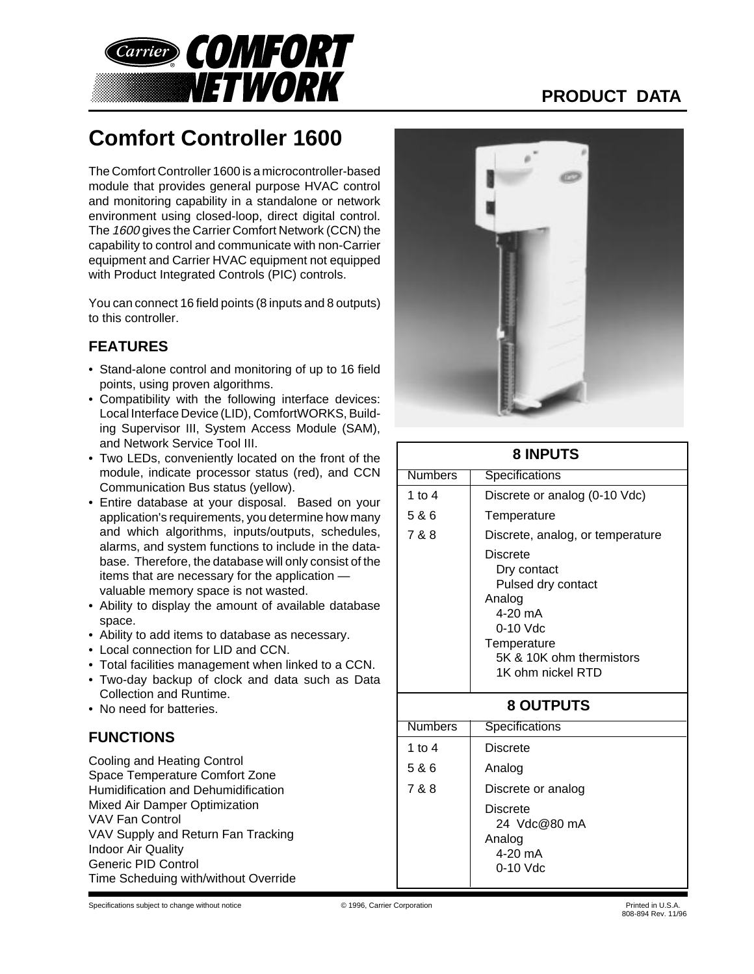

# **PRODUCT DATA**

# **Comfort Controller 1600**

The Comfort Controller 1600 is a microcontroller-based module that provides general purpose HVAC control and monitoring capability in a standalone or network environment using closed-loop, direct digital control. The 1600 gives the Carrier Comfort Network (CCN) the capability to control and communicate with non-Carrier equipment and Carrier HVAC equipment not equipped with Product Integrated Controls (PIC) controls.

You can connect 16 field points (8 inputs and 8 outputs) to this controller.

## **FEATURES**

- Stand-alone control and monitoring of up to 16 field points, using proven algorithms.
- Compatibility with the following interface devices: Local Interface Device (LID), ComfortWORKS, Building Supervisor III, System Access Module (SAM), and Network Service Tool III.
- Two LEDs, conveniently located on the front of the module, indicate processor status (red), and CCN Communication Bus status (yellow).
- Entire database at your disposal. Based on your application's requirements, you determine how many and which algorithms, inputs/outputs, schedules, alarms, and system functions to include in the database. Therefore, the database will only consist of the items that are necessary for the application valuable memory space is not wasted.
- Ability to display the amount of available database space.
- Ability to add items to database as necessary.
- Local connection for LID and CCN.
- Total facilities management when linked to a CCN.
- Two-day backup of clock and data such as Data Collection and Runtime.
- No need for batteries.

## **FUNCTIONS**

Cooling and Heating Control Space Temperature Comfort Zone Humidification and Dehumidification Mixed Air Damper Optimization VAV Fan Control VAV Supply and Return Fan Tracking Indoor Air Quality Generic PID Control Time Scheduing with/without Override



| <b>8 INPUTS</b>  |                                                                                                                                                  |  |
|------------------|--------------------------------------------------------------------------------------------------------------------------------------------------|--|
| <b>Numbers</b>   | Specifications                                                                                                                                   |  |
| 1 to $4$         | Discrete or analog (0-10 Vdc)                                                                                                                    |  |
| 5 & 6            | Temperature                                                                                                                                      |  |
| 7 & 8            | Discrete, analog, or temperature                                                                                                                 |  |
|                  | Discrete<br>Dry contact<br>Pulsed dry contact<br>Analog<br>4-20 mA<br>$0-10$ Vdc<br>Temperature<br>5K & 10K ohm thermistors<br>1K ohm nickel RTD |  |
| <b>8 OUTPUTS</b> |                                                                                                                                                  |  |
| <b>Numbers</b>   | Specifications                                                                                                                                   |  |
| 1 to $4$         | <b>Discrete</b>                                                                                                                                  |  |
| 5 & 6            | Analog                                                                                                                                           |  |
| 7 & 8            | Discrete or analog                                                                                                                               |  |
|                  | <b>Discrete</b><br>24 Vdc@80 mA<br>Analog<br>4-20 mA<br>$0-10$ Vdc                                                                               |  |

Specifications subject to change without notice **CERRY CORPORTIZE CORPORTIZE CORPORTIZE** CORPORTIZE OF 1996, Carrier Corporation **Printed in U.S.A.**